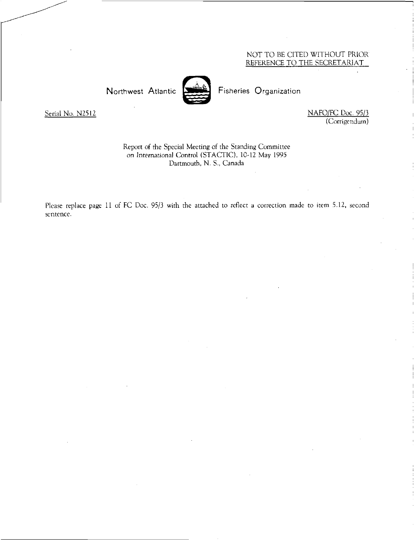### NOT TO BE CITED WITHOUT PRIOR REFERENCE TO THE SECRETARIAT

# Northwest Atlantic Fisheries Organization



Serial No. N2512 NAFO/FC Doc. 95/3 (Corrigendum)

> Report of the Special Meeting of the Standing Committee on International Control (STACTIC), 10-12 May 1995 Dartmouth, N. S., Canada

Please replace page 11 of FC Doc. 95/3 with the attached to reflect a correction made to item 5.12, second sentence.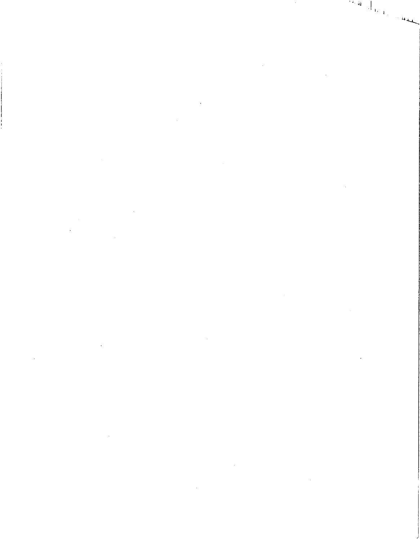$\label{eq:2.1} \frac{1}{\sqrt{2}}\int_{\mathbb{R}^3}\frac{1}{\sqrt{2}}\left(\frac{1}{\sqrt{2}}\right)^2\frac{1}{\sqrt{2}}\left(\frac{1}{\sqrt{2}}\right)^2\frac{1}{\sqrt{2}}\left(\frac{1}{\sqrt{2}}\right)^2\frac{1}{\sqrt{2}}\left(\frac{1}{\sqrt{2}}\right)^2.$  $\label{eq:2.1} \frac{1}{\sqrt{2}}\int_{\mathbb{R}^3}\frac{1}{\sqrt{2}}\left(\frac{1}{\sqrt{2}}\right)^2\left(\frac{1}{\sqrt{2}}\right)^2\left(\frac{1}{\sqrt{2}}\right)^2\left(\frac{1}{\sqrt{2}}\right)^2.$ 

 $\label{eq:2.1} \frac{1}{\sqrt{2}}\int_{\mathbb{R}^3}\frac{1}{\sqrt{2}}\left(\frac{1}{\sqrt{2}}\right)^2\left(\frac{1}{\sqrt{2}}\right)^2\left(\frac{1}{\sqrt{2}}\right)^2\left(\frac{1}{\sqrt{2}}\right)^2\left(\frac{1}{\sqrt{2}}\right)^2\left(\frac{1}{\sqrt{2}}\right)^2\left(\frac{1}{\sqrt{2}}\right)^2\left(\frac{1}{\sqrt{2}}\right)^2\left(\frac{1}{\sqrt{2}}\right)^2\left(\frac{1}{\sqrt{2}}\right)^2\left(\frac{1}{\sqrt{2}}\right)^2\left(\frac$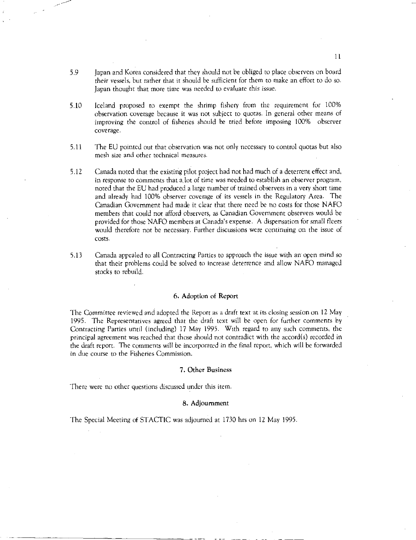- 5.9 Japan and Korea considered that they should not be obliged to place observers on board *their* vessels, but rather that it should be sufficient for them to make an effort to do so. Japan thought that more time was needed to evaluate this *issue.*
- 5.10 Iceland proposed to exempt the shrimp fishery from the requirement for 100% observation coverage because it was not subject to quotas. In general other means of improving the control of fisheries should be tried before imposing 100% observer coverage.
- 5.11 The EU pointed out that observation was not only necessary to control quotas but also mesh size and other technical measures.
- 5.12 Canada noted that the existing pilot project had not had much of a deterrent effect and, in response to comments that a lot of time was needed to establish an observer program, noted that the EU had produced a large number of trained observers in a very short time and already had 100% observer coverage of its vessels in the Regulatory Area. The Canadian Government had made it clear that there need be no costs for those NAFO members that could *not afford* observers, as Canadian Government observers would be provided for those NAFO members at Canada's expense. A dispensation for small fleets would therefore not be necessary. Further discussions were continuing on the issue of costs.
- 5.13 Canada appealed to all Contracting Parties to approach the issue with an open mind so that their problems could he solved to increase deterrence and allow NAFO managed stocks to rebuild.

#### 6. Adoption of Report

The Committee reviewed and adopted the Report as a draft text at its closing session on 12 May 1995. The Representatives agreed that the draft text will he open for further comments by Contracting Parties until (including) 17 May 1995. With regard to any such comments, the principal agreement was reached that those should not contradict with the accord(s) recorded in the draft report. The comments will be *incorporated* in the final report, which will be forwarded in due course to the Fisheries Commission.

#### 7. Other Business

There were no other questions discussed under this item.

#### 8. Adjournment

The Special Meeting of STACTIC was adjourned at 1730 hrs on 12 May 1995.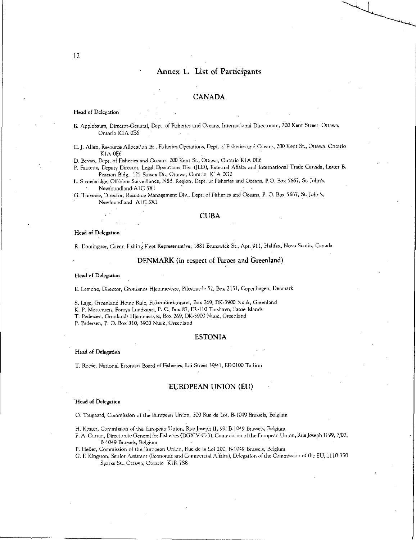## Annex 1. List of Participants

### CANADA

#### Head of Delegation

B. Applebaum, Director-General, Dept. of Fisheries and Oceans, International Directorate, 200 Kent Street, Ottawa, Ontario KIA 0E6

C. J. Allen, Resource Allocation Br., Fisheries Operations, Dept. *of* Fisheries and Oceans, 200 Kent St., Ottawa, Ontario KIA 0E6

D. Bevan, Dept. of Fisheries and Oceans, 200 Kent St., Ottawa, Ontario KIA 0E6

P. Fauteux, Deputy Director, Legal Operations Div. (JLO), External Affairs and International Trade Canada, Lester B. Pearson Bldg., 125 Sussex Dr., Ottawa, Ontario KIA 0G2

L. Strawbridge, Offshore Surveillance, Nfld. Region, Dept. of Fisheries and Oceans, P.O. Box 5667, St. John's, Newfoundland AIC 5X1

G. Traverse, Director, Resource Management Div., Dept. of Fisheries and Oceans, P. 0. Box 5667, St. John's, Newfoundland AlC 5X1

#### CUBA

#### Head of Delegation

R. Dominguez, Cuban Fishing Fleet Representative, 1881 Brunswick St., Apt. 911, Halifax, Nova Scotia, Canada

#### DENMARK (in respect of Faroes and Greenland)

#### Head of Delegation

E. Lemche, Director, Gronlands Hjemmestyre, Pilestraede 52, Box 2151, Copenhagen, Denmark

S. Lage, Greenland Home Rule, Fiskeridirektoratet, Box 269, DK-3900 Nuuk, Greenland

K. P. Mortensen, Foroya Landsstyri, P. O. Box 87, FR-110 Torshavn, Faroe Islands

T. Pedersen, Gronlands Hjemmestyre, Box 269, DK-3900 Nuuk, Greenland

P. Pedersen, P. O. Box 310, 3900 Nuuk, Greenland

### ESTONIA

#### Head of Delegation

T. Roose, National Estonian Board of Fisheries, Lai Street 39/41, EE-0100 Tallinn

### EUROPEAN UNION (EU)

#### Head of Delegation

0. Tougaard, Commission of the European Union, 200 Rue de Loi, B4049 Brussels, Belgium

H. Koster, Commission of the European Union, Rue Joseph II, 99, B-1049 Brussels, Belgium

P.A. Curran, Directorate General for Fisheries (DGXIV-C-3), Commission *of* the European Union, Rue Joseph I199, 7/07, B-1049 Brussels, Belgium

P. Heller, Commission of the European Union, Rue de la Loi 200, B-1049 Brussels, Belgium

G. F. Kingston, Senior Assistant (Economic and Commercial Affairs), Delegation of the Commission of the EU, 1110-350 Sparks St., Ottawa, Ontario KIR 7S8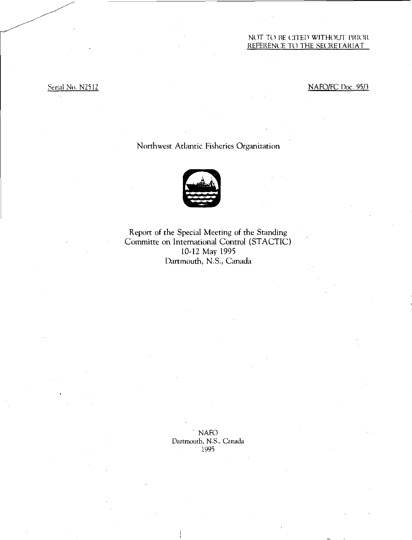### NOT TO BE CITED WITHOUT PRIOR REFERENCE TO THE SECRETARIAT

### Serial No. N2512 NAFO/FC Doc. 95/3

# Northwest Atlantic Fisheries Organization



Report of the Special Meeting of the Standing Committe on International Control (STACTIC) 10-12 May 1995 Dartmouth, N.S., Canada

> NAFO Dartmouth, N.S., Canada 1995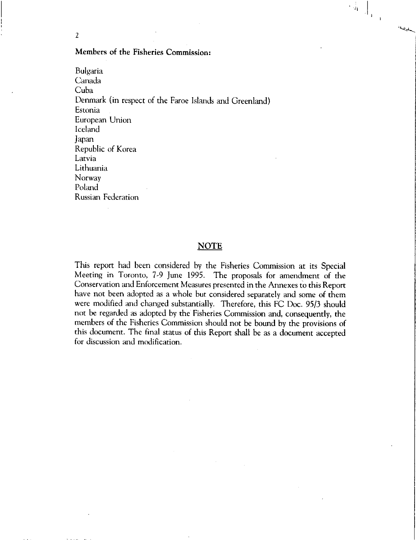2

### Members of the Fisheries Commission:

Bulgaria Canada Cuba Denmark (in respect of the Faroe Islands and Greenland) Estonia European Union Iceland Japan Republic of Korea Latvia Lithuania Norway Poland Russian Federation

## **NOTE**

 $\epsilon_{\rm sh}^{-1}$ 

 $\mathbf{r}$ 

ألموليا

This report had been considered by the Fisheries Commission at its Special Meeting in Toronto, 7-9 June 1995. The proposals for amendment of the Conservation and Enforcement Measures presented in the Annexes to this Report have not been adopted as a whole but considered separately and some of them were modified and changed substantially. Therefore, this FC Doc. 95/3 should not be regarded as adopted by the Fisheries Commission and, consequently, the members of the Fisheries Commission should not be bound by the provisions of this document. The final status of this Report shall be as a document accepted for discussion and modification.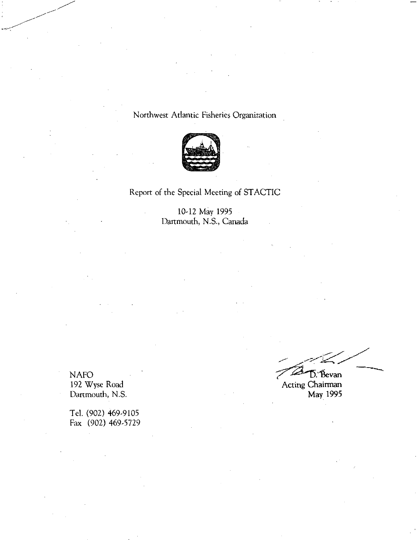# Northwest Atlantic Fisheries Organization



# Report of the Special Meeting of STACTIC

10.12 May 1995 Dartmouth, N.S., Canada

NAFO<br>192 Wyse Road Dartmouth, N.S.

Tel. (902) 469-9105 Fax (902) 469-5729

D. Bevan

Acting Chairman<br>May 1995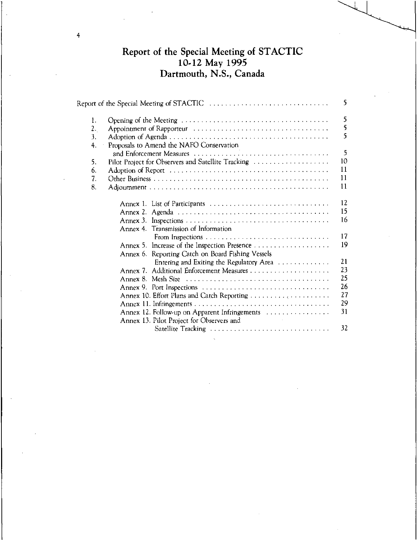# Report of the Special Meeting of STACTIC 10-12 May 1995 Dartmouth, N.S., Canada

| Report of the Special Meeting of STACTIC $\ldots \ldots \ldots \ldots \ldots \ldots \ldots \ldots \ldots$                                                                                                          | 5                                      |
|--------------------------------------------------------------------------------------------------------------------------------------------------------------------------------------------------------------------|----------------------------------------|
| 1.<br>Opening of the Meeting $\ldots \ldots \ldots \ldots \ldots \ldots \ldots \ldots \ldots \ldots \ldots \ldots$<br>2.<br>3.                                                                                     | 5<br>5<br>5                            |
| Proposals to Amend the NAFO Conservation<br>4.<br>Pilot Project for Observers and Satellite Tracking<br>5.<br>6.<br>7.<br>8.                                                                                       | 5<br>10<br>11<br>11<br>11              |
| Annex 1. List of Participants<br>Annex 4. Transmission of Information                                                                                                                                              | 12<br>15<br>16                         |
| Annex 5. Increase of the Inspection Presence                                                                                                                                                                       | 17<br>19                               |
| Annex 6. Reporting Catch on Board Fishing Vessels<br>Entering and Exiting the Regulatory Area $\dots\dots\dots\dots$<br>Annex 12. Follow-up on Apparent Infringements<br>Annex 13. Pilot Project for Observers and | 21<br>23<br>25<br>26<br>27<br>29<br>31 |
| Satellite Tracking                                                                                                                                                                                                 | 32                                     |

4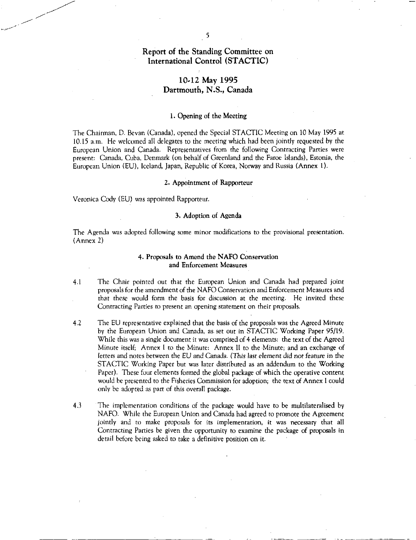### Report of the Standing Committee on International Control (STACTIC)

### 10.12 May 1995 Dartmouth, N.S., Canada

#### 1. Opening of the Meeting

The Chairman, D. Bevan (Canada), opened the Special STACTIC Meeting on 10 May 1995 at 10.15 a.m. He welcomed all delegates to the meeting which had been jointly requested by the European Union and Canada. Representatives from the following Contracting Parties were present: Canada, Cuba, Denmark (on behalf of Greenland and the Faroe Islands), Estonia, the European Union (EU), Iceland, Japan, Republic of Korea, Norway and Russia (Annex 1).

#### 2. Appointment of Rapporteur

Veronica Cody (EU) was appointed Rapporteur.

#### 3. Adoption of Agenda

The Agenda was adopted following some minor modifications to the provisional presentation. (Annex 2)

### 4. Proposals to Amend the NAFO Conservation and Enforcement Measures

- 4.1 The Chair pointed out that the European Union and Canada had prepared joint proposals for the amendment of the NAFO Conservation and Enforcement Measures and that these would form the basis for discussion at the meeting. He invited these Contracting Parties to present an opening statement on their proposals.
- 4.2 The EU representative explained that the basis of the proposals was the Agreed Minute by the European Union and Canada, as set out in STACTIC Working Paper 95/19. While this was a single document it was comprised of 4 elements: the text of the Agreed Minute itself; Annex I to the Minute: Annex II to the Minute; and an exchange of letters and notes between the EU and Canada. *(This last element* did not *feature* in the STACTIC Working Paper but was later distributed as an addendum to the Working Paper). These four elements formed the global package of which the operative content would be presented to the Fisheries Commission for adoption; the text of Annex I could only be adopted as part of this overall package.
- 4.3 The implementation conditions of the package would have to be multilateralised by NAFO. While the European Union and Canada had agreed to promote the Agreement jointly and to make proposals for its implementation, it was necessary that all Contracting Parties be given the opportunity to examine the package of proposals in detail before being asked to take a definitive position on it.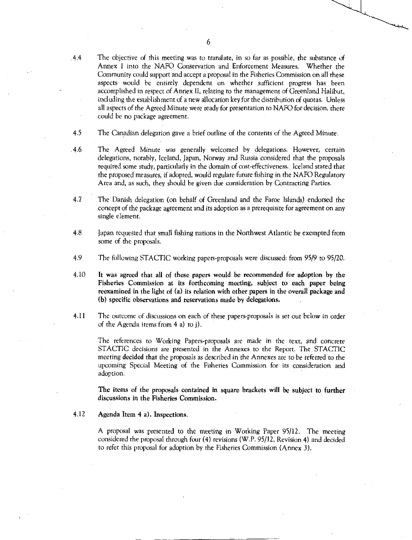- .4.4 The objective of this meeting was to translate, in so far as possible, the substance of Annex I into the NAFO Conservation and Enforcement Measures. Whether the Community could support and accept a proposal in the Fisheries Commission on all these aspects would he entirely dependent on whether sufficient progress has been accomplished in respect of Annex II, relating to the management of Greenland Halibut, including the establishment of a new allocation key for the distribution of quotas. Unless all aspects of the Agreed Minute were ready for presentation to NAFO for decision, there could be no package agreement.
- 4.5 The Canadian delegation gave a brief outline of the contents of the Agreed Minute.
- 4.6 The Agreed Minute was generally welcomed by delegations. However, certain delegations, notably, Iceland, Japan, Norway and Russia considered that the proposals required some study, particularly in the domain of cost-effectiveness. Iceland stated that the proposed measures, if adopted, would regulate future fishing in the NAFO Regulatory Area and, as such, they should be given due consideration by Contracting Parties.
- 4.7 The Danish delegation (on behalf of Greenland and the Faroe Islands) endorsed the concept of the package agreement and its adoption as a prerequisite for agreement on any single element.
- 4.8 Japan requested that small fishing nations in the Northwest Atlantic be exempted from some of the proposals.
- 4.9 The following STACTIC working papers-proposals were discussed: from 95/9 to 95/20.
- 4.10 It was agreed that all of these papers would be recommended for adoption by the Fisheries Commission at its forthcoming meeting, subject to each paper being reexamined in the light of (a) its relation with other papers in the overall package and (b) specific observations and reservations made by delegations.
- 4.11 The outcome of discussions on each of these papers-proposals is set out below in order of the Agenda items from 4 a) to j).

The references to Working Papers-proposals are made in the text, and concrete STACTIC decisions are presented in the Annexes to the Report. The STACTIC meeting decided that the proposals as described in the Annexes are to be referred to the upcoming Special Meeting of the Fisheries Commission for its consideration and adoption.

The items of the proposals contained in square brackets will be subject to further discussions in the Fisheries Commission.

4.12 Agenda Item 4 a). Inspections.

A proposal was presented to the meeting in Working Paper 95/12. The meeting considered the proposal through four (4) revisions (W.P. 95/12, Revision 4) and decided to refer this proposal for adoption by the Fisheries Commission (Annex 3).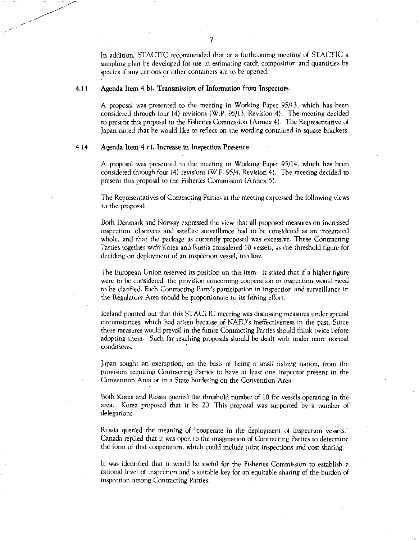In addition, STACTIC recommended that at a forthcoming meeting of STACTIC a sampling plan be developed for use in estimating catch composition and quantities by species if any cartons or other containers are to he opened.

#### 4.13 Agenda Item 4 b). Transmission of Information from Inspectors.

A proposal was presented to the meeting in Working Paper 95/13, which has been considered through four (4) revisions (W.P. 95/13, Revision 4). The meeting decided to present this proposal to the Fisheries Commission (Annex 4). The Representative of Japan noted that he would like to reflect on the wording contained in square brackets.

### 4.14 Agenda Item 4 c). Increase in Inspection Presence.

A proposal was presented to the meeting in Working Paper 95/14, which has been considered through four (4) revisions (W.P. 95/4, Revision 4). The meeting decided to present this proposal to the Fisheries Commission (Annex 5).

The Representatives of Contracting Parties at the meeting expressed the following views to the proposal:

Both Denmark and Norway expressed the view that all proposed measures on increased inspection, observers and satellite surveillance had to be considered as an integrated whole, and that the package as currently proposed was excessive. These Contracting Parties together with Korea and Russia considered 10 vessels, as the threshold figure for deciding on deployment of an inspection vessel, too low.

The European Union reserved its position on this item. It stated that if a higher figure were to be considered, the provision concerning cooperation in inspection would need to be clarified. Each Contracting Party's participation in inspection and surveillance in the Regulatory Area should be proportionate to its fishing effort.

Iceland pointed out that this STACTIC meeting was discussing measures under special circumstances, which had arisen because of NAFO's ineffectiveness in the past. Since these measures would prevail in the future Contracting Parties should think twice before adopting them. Such far reaching proposals should be dealt with under more normal conditions.

Japan sought an exemption, on the basis of being a small fishing nation, from the provision requiring Contracting Parties to have at least one inspector present in the Convention Area or in a State bordering on the Convention Area.

Both Korea and Russia queried the threshold number of 10 for vessels operating in the area. Korea proposed that it be 20. This proposal was supported by a number of delegations.

Russia queried the meaning of "cooperate in the deployment of inspection vessels." Canada replied that it was open to the imagination of Contracting Parties to determine the form of that cooperation, which could include joint inspections and cost sharing.

It was identified that it would be useful for the Fisheries Commission to establish a rational level of inspection and a suitable key for an equitable sharing of the burden of inspection among Contracting Parties.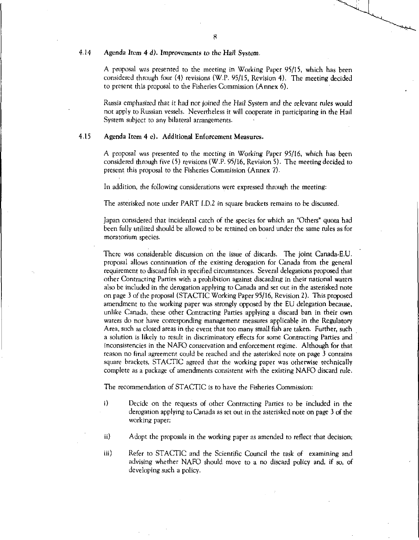### 4.14 Agenda *Item* 4 *d). Improvements to the Hail System.*

A proposal was presented to the meeting in Working Paper 95/15, which has been considered through four (4) revisions (W.P. 95/15, Revision 4). The meeting decided to present this proposal to the Fisheries Commission (Annex 6).

Russia emphasized that it had not joined the Hail System and the relevant rules would not apply to Russian vessels. Nevertheless it will cooperate in participating in the Hail System subject to any bilateral arrangements.

### 4.15 Agenda Item 4 e). Additional Enforcement Measures.

A proposal was presented to the meeting in Working Paper 95/16, which has been considered through five (5) revisions (W.P. 95/16, Revision 5). The meeting decided to present this proposal to the Fisheries Commission (Annex 7).

In addition, the following considerations were expressed through the meeting:

The asterisked note under PART I.D.2 in square brackets remains to be discussed.

Japan considered that incidental catch of the species for which an "Others" quota had been fully utilized should be allowed to be retained on board under the same rules as for moratorium species.

There was considerable discussion on the issue of discards. The joint Canada•E.U. proposal allows continuation of the existing derogation for Canada from the general requirement to discard fish in specified circumstances. Several delegations proposed that other Contracting Parties with a prohibition against discarding in their national waters also be included in the derogation applying to Canada and set out in the asterisked note on page 3 of the proposal (STACTIC Working Paper 95/16, Revision 2). This proposed amendment to the working paper was strongly opposed by the EU delegation because, unlike Canada, these other Contracting Parties applying a discard ban in their own waters do not have corresponding management measures applicable in the Regulatory Area, such as closed areas in the event that too many small fish are taken. Further, such a solution is likely to result in discriminatory effects for some Contracting Parties and inconsistencies in the NAFO conservation and enforcement regime. Although for that reason no final agreement could be reached and the asterisked note on page 3 contains square brackets, STACTIC agreed that the working paper was otherwise technically complete as a package of amendments consistent with the existing NAFO discard rule.

The recommendation of STACTIC is to have the Fisheries Commission:

- i) Decide on the requests of other Contracting Parties to be included in the derogation applying to Canada as set out in the asterisked note on page 3 of the working paper;
- ii) Adopt the proposals in the working paper as amended to reflect that decision;
- iii) Refer to STACTIC and the Scientific Council the task of examining and advising whether NAFO should move to a no discard policy and, if so, of developing such a policy.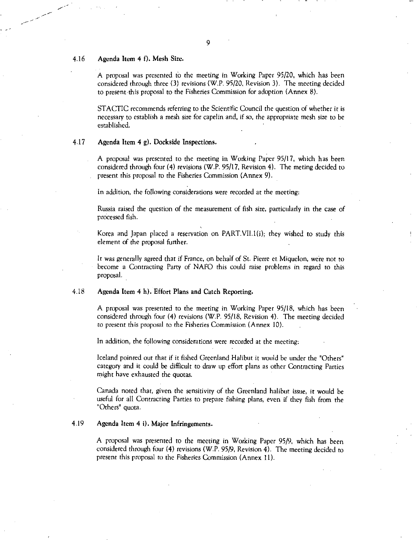### 4.16 Agenda Item 4 f). Mesh Size.

A proposal was presented to the meeting in Working Paper 95/20, which has been considered through three (3) revisions (W.P. 95/20, Revision 3). The meeting decided to present this proposal to the Fisheries Commission for adoption (Annex 8).

STACTIC recommends referring to the Scientific Council the question of whether it is necessary to establish a mesh size for capelin and, if so, the appropriate mesh size to be established.

### 4.17 Agenda Item 4 g). Dockside Inspections.

A proposal was presented to the meeting in Working Paper 95/17, which has been considered through four (4) revisions (W.P. 95/17, Revision 4). The meting decided to present this proposal to the Fisheries Commission (Annex 9).

In addition, the following considerations were recorded at the meeting:

Russia raised the question of the measurement of fish size, particularly in the case of processed fish.

Korea and Japan placed a reservation on PART.VIl.1(i); they wished to study this element of the proposal further.

It was generally agreed that if France, on behalf of St. Pierre et Miquelon, were not to become a Contracting Party of NAFO this could raise problems in regard to this proposal.

### 4.18 Agenda Item 4 h). Effort Plans and Catch Reporting.

A proposal was presented to the meeting in Working Paper 95/18, which has been considered through four (4) revisions (W.P. 95/18, Revision 4). The meeting decided to present this proposal to the Fisheries Commission (Annex 10).

In addition, the following considerations were recorded at the meeting:

Iceland pointed out that if it fished Greenland Halibut it would be under the "Others" category and it could be difficult to draw up effort plans as other Contracting Parties might have exhausted the quotas.

Canada noted that, given the sensitivity of the Greenland halibut issue, it would be useful for all Contracting Parties to prepare fishing plans, even if they fish from the "Others" quota.

### 4.19 Agenda Item 4 i). Major Infringements.

A proposal was presented to the meeting in Working Paper 95/9, which has been considered through four (4) revisions (W.P. 95/9, Revision 4). The meeting decided to present this proposal to the Fisheries Commission (Annex 11).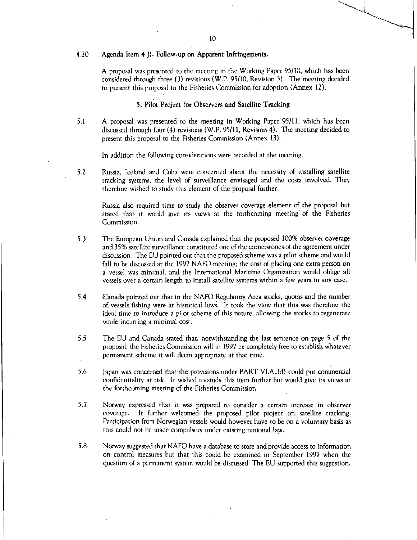### **4.20 Agenda Item 4 j). Follow-up on Apparent Infringements.**

A proposal was presented to the meeting in the Working Paper 95/10, which has been considered through three (3) revisions (W.P. 95/10, Revision 3). The meeting decided to present this proposal to the Fisheries Commission for adoption (Annex 12).

### **5. Pilot Project for Observers and Satellite Tracking**

5.1 A proposal was presented to the meeting in Working Paper 95/11, which has been discussed through four (4) revisions (W.P. 95/11, Revision **4).** The meeting decided to present this proposal to the Fisheries Commission (Annex 13).

In addition the following considerations were recorded at the meeting

5.2 Russia, Iceland and Cuba were concerned about the necessity of installing satellite tracking systems, the level of surveillance envisaged and the costs involved. They therefore wished to study this element of the proposal further.

Russia also required time to study the observer coverage element of the proposal but stated that it would give its views at the forthcoming meeting of the Fisheries Commission.

- 5.3 The European Union and Canada explained that the proposed 100% observer coverage and 35% satellite surveillance constituted one of the cornerstones of the agreement under discussion. The EU pointed out that the proposed scheme was a pilot scheme and would fall to be discussed at the 1997 NAFO meeting; the cost of placing one extra person on a vessel was minimal; and the International Maritime Organization would oblige all vessels over a certain length to install satellite systems within a few years in any case.
- 5.4 Canada pointed out that in the NAFO Regulatory Area stocks, quotas and the number of vessels fishing were at historical lows. It took the view that this was therefore the ideal time to introduce a pilot scheme of this nature, allowing the stocks to regenerate while incurring a minimal cost.
- 5.5 The EU and Canada stated that, notwithstanding the last sentence on page 5 of the proposal, the Fisheries Commission will in 1997 be completely free to establish whatever permanent scheme it will deem appropriate at that time.
- 5.6 Japan was concerned that the provisions under PART VI.A.3d) could put commercial confidentiality at risk. It wished to, study this item further but would give its views at the forthcoming meeting of the Fisheries Commission.
- 5.7 Norway expressed that it was prepared to consider a certain increase in observer coverage. It further welcomed the proposed pilot project on. satellite tracking. Participation from Norwegian vessels would however have to be on a voluntary basis as this could not be made compulsory under existing national law.
- 5.8 Norway suggested that NAFO have a database to store and provide access to information on control measures but that this could be examined in September 1997 when the question of a permanent system would be discussed. The EU supported this suggestion.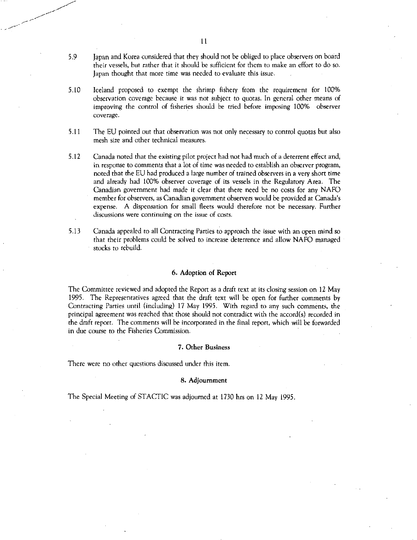- 5.9 Japan and Korea considered that they should not be obliged to place observers on board their vessels, but rather that it should be sufficient for them to make an effort to do so. Japan thought that more time was needed to evaluate this issue.
- 5.10 Iceland proposed to exempt the shrimp fishery from the requirement for 100% observation coverage because it was not subject to quotas. In general other means of improving the control of fisheries should be tried before imposing 100% observer coverage.
- 5.11 The EU pointed out that observation was not only necessary to control quotas but also mesh size and other technical measures.
- 5.12 Canada noted that the existing pilot project had not had much of a deterrent effect and, in response to comments that a lot of time was needed to establish an observer program, noted that the EU had produced a large number of trained observers in a very short time and already had 100% observer coverage of its vessels in the Regulatory Area. The Canadian government had made it clear that there need be no costs for any NAFO member for observers, as Canadian government observers would be provided at Canada's expense. A dispensation for small fleets would therefore not be necessary. Further discussions were continuing on the issue of costs.

5.13 Canada appealed to all Contracting Parties to approach the issue with an open mind so that their problems could he solved to increase deterrence and allow NAFO managed stocks to rebuild.

#### 6. Adoption of Report

The Committee reviewed and adopted the Report as a draft text at its closing session on 12 May 1995. The Representatives agreed that the draft text will be open for further comments by Contracting Parties until (including) 17 May 1995. With regard to any such comments, the principal agreement was reached that those should not contradict with the accord(s) recorded in the draft report. The comments will be incorporated in the final report, which will be forwarded in due course to the Fisheries Commission.

### 7. Other Business

There were no other questions discussed under this item.

#### 8. Adjournment

The Special Meeting of STACTIC was adjourned at 1730 hrs on 12 May 1995.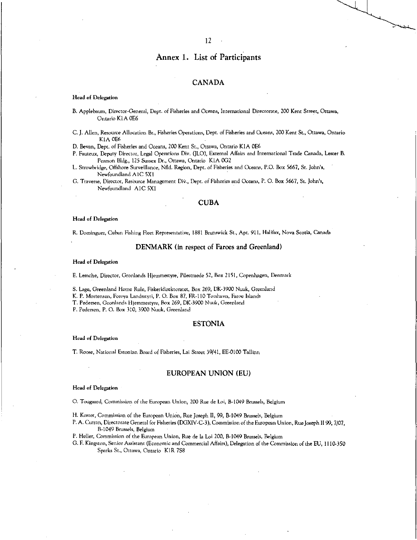### Annex 1. List of Participants

### CANADA

#### Head of Delegation

B. Applebaum, Director-General, Dept. of Fisheries and Oceans, International Directorate, 200 Kent Street, Ottawa, Ontario KIA 0E6

C. J. Allen, Resource Allocation Br., Fisheries Operations, Dept. of Fisheries and Oceans, 200 Kent St., Ottawa, Ontario KIA 0E6

D. Bevan, Dept. of Fisheries and Oceans, 200 Kent St., Ottawa, Ontario K1A 0E6

P. Fauteux, Deputy Director, Legal Operations Div. (JLO), External Affairs and International Trade Canada, Lester B. Pearson Bldg., l25 Sussex Dr., Ottawa, Ontario KIA 002

L. Strawbridge, Offshore Surveillance, Nfld. Region, Dept. of Fisheries and Oceans, P.O. Box 5667, St. John's, Newfoundland A1C 5X1

G. Traverse, Director, Resource Management Div., Dept. of Fisheries and Oceans, P. O. Box 5667, St. John's, Newfoundland A1C 5X1

#### CUBA

#### Head of Delegation

R. Dominguez, Cuban Fishing Fleet Representative, 1881 Brunswick St., Apt. 911, Halifax, Nova Scotia, Canada

#### DENMARK (in respect of Farces and Greenland)

#### Head of Delegation

E. Lemche, Director, Gronlands Hjemmestyre, Pilestraede 52, Box 2151, Copenhagen, Denmark

S. Lage, Greenland Home Rule, Fiskeridirektoratet, Box 269, DK-3900 Nuuk, Greenland

K. P. Mortensen, Foroya Landsstyri, P. O. Box 87, FR-110 Torshavn, Faroe Islands

T. Pedersen, Gronlands Hjemmestyre, Box 269, DK-3900 Nuuk, Greenland

P. Pedersen, P. 0. Box 310, 3900 Nuuk, Greenland

#### ESTONIA

#### Head of Delegation

T. Roose, National Estonian Board of Fisheries, Lai Street 39/41, EE-0100 Tallinn

#### EUROPEAN UNION (EU)

#### Head of Delegation

0. Tougaard, Commission of the European Union, 200 Rue de Loi, B-1049 Brussels, Belgium

H. Koster, Commission of the European Union, Rue Joseph 11, 99, B-1049 Brussels, Belgium

P. A. Curran, Directorate General for Fisheries (DGXIV-C-3), Commission of the European Union, Rue Joseph I199, 7/07, B-1049 Brussels, Belgium

P. Heller, Commission of the European Union, Rue de la Loi 200, 8.1049 Brussels, Belgium

G. F. Kingston, Senior Assistant (Economic and Commercial Affairs), Delegation of the Commission of the EU, 1110-350 Sparks St., Ottawa, Ontario KIR 7S8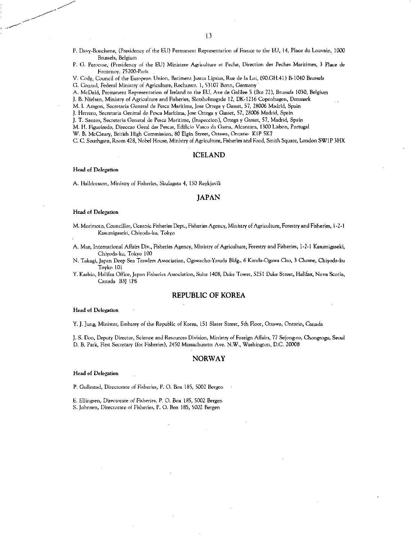P. Davy-Bouchene, (Presidency of the EU) Permanent Representation of France to the EU, 14, Place du Louvain, 1000 Brussels, Belgium

P. G. Peronne, (Presidency of the EU) Ministere Agriculture et Peche, Direction des Peches Maritimes, 3 Place de Fontenoy, 75700-Paris

V. Cody, Council *of* the European Union, Betiment Justus Lipsius, Rue de la Loi, (90.GH.41) B-1040 Brussels

0. Conrad, Federal Ministry of Agriculture, Rochusstr. 1, 53107 Bonn, Germany

A. McDaid, Permanent Representation of Ireland to the EU, Ave de Galilee 5 (Bte 22), Brussels 1030, Belgium

J. B. Nielsen, Ministry of Agriculture and Fisheries, Slotsholmsgade 12, DK-1216 Copenhagen, Denmark

M. I. Aragon, Secretaria General de Pesca Maritima, Jose Ortega y Gasset, 57, 28006 Madrid, Spain

J. Herrero, Secretaria General de Pesca Maritima, Jose Ortega y Gasset, 57, 28006 Madrid, Spain

J. T. Santos, Secretaria General de Pesca Maritime, (Inspection), Ortega y Gasser, 57, Madrid, Spain

M. H. Figueiredo, Direccao Gera' das Pescas, Edificio Vasco da Gama, Atcantara, 1300 Lisbon, Portugal

W. B. McCleary, British High Commission, 80 Elgin Street, Ottawa, Ontario KIP 5K7

C. C. Southgate, Room 428, Nobel House, Ministry of Agriculture, Fisheries and Food, Smith Square, London SW1P 3HX

#### ICELAND

#### Head of Delegation

A. Halldorsson, Ministry of Fisheries, Skulagata 4, 150 Reykjavik

#### JAPAN

#### Head of Delegation

M. Morimoto, Councillor, Oceanic Fisheries Dept., Fisheries Agency, Ministry of Agriculture, Forestry and Fisheries, 1-2.I Kasumigaseki, Chiyoda-ku, Tokyo

A. Mae, International Affairs Div., Fisheries Agency, Ministry of Agriculture, Forestry and Fisheries, 1-2-1 Kasumigaseki, Chiyoda-ku, Tokyo 100

N. Takagi, Japan Deep Sea Trawlers Association, Ogawacho-Yasuda Bldg., 6 Kanda-Ogawa Cho, 3 Chome, Chiyoda-ku Toyko 101

Y. Kashio, Halifax Office, Japan Fisheries Association, Suite 1408, Duke Tower, 5251 Duke Street, Halifax, Nova Scotia, Canada B3J 1P6

#### REPUBLIC OF KOREA

#### Head of Delegation

Y. J. Jung, Minister, Embassy of the Republic of Korea, 151 Slater Street, 5th Floor, Ottawa, Ontario, Canada

J. S. Doo, Deputy Director, Science and Resources Division, Ministry of Foreign Affairs, 77 Sejong-ro, Chongrogu, Seoul D. B. Park, First Secretary (for Fisheries), 2450 Massachusetts Ave. N.W., Washington, D.C. 20008

#### NORWAY

#### Head of Delegation

P. Gullestad, Directorate of Fisheries, P. 0. Box 185, 5002 Bergen

E. Ellingsen, Directorate of Fisheries, P. 0. Box 185, 5002 Bergen S. Johnsen, Directorate of Fisheries, P. 0. Box 185, 5002 Bergen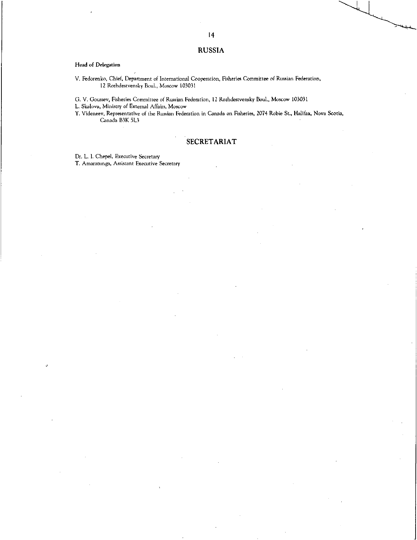RUSSIA

#### Head of Delegation

V. Fedorenko, Chief, Department of International Cooperation, Fisheries Committee *of* Russian Federation, 12 Rozhdestvensky Boul., Moscow 103031

G. V. Goussev, Fisheries Committee of Russian Federation, 12 Rozhdestvensky Boul., Moscow 103031

L. Skalova, Ministry of External Affairs, Moscow

Y. Videneev, Representative of the Russian Federation in Canada on Fisheries, 2074 Robie St., Halifax, Nova Scotia, Canada B3K 5L3

### SECRETARIAT

Dr. L. I. Chepel, Executive Secretary T. Amaratunga, Assistant Executive Secretary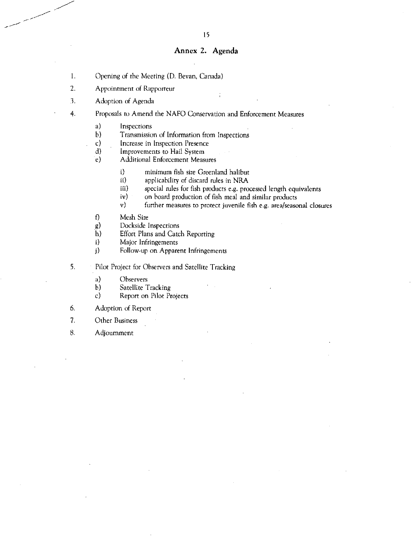### Annex 2. Agenda

- 1. Opening of the Meeting (D. Bevan, Canada)
- 2. Appointment of Rapporteur
- 3. Adoption of Agenda
- 4. Proposals to Amend the NAFO Conservation and Enforcement Measures
	- a) Inspections
	- b) Transmission of Information from Inspections<br>c) Increase in Inspection Presence
	- Increase in Inspection Presence
	- d) Improvements to Hail System
	- e) Additional Enforcement Measures
		- i) minimum fish size Greenland halibut
		- ii) applicability of discard rules in NRA
		- iii) special rules for fish products e.g. processed length equivalents
		- iv) on board production of fish meal and similar products<br>v) further measures to protect juvenile fish e.g. area/seaso
		- further measures to protect juvenile fish e.g. area/seasonal closures
	- f) Mesh Size
	-
	- g) Dockside Inspections<br>h) Effort Plans and Catc **Effort Plans and Catch Reporting**
	- i) Major Infringements
	- j) Follow-up on Apparent Infringements
- 5. Pilot Project for Observers and Satellite Tracking
	- a) Observers
	- b) Satellite Tracking
	- c) Report on Pilot Projects
- 6. Adoption of Report
- 7. Other Business
- 8. Adjournment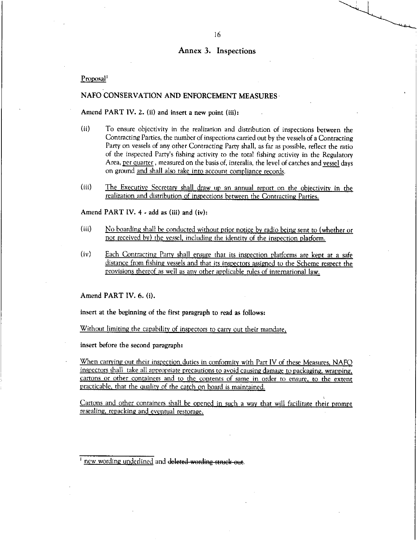### Annex 3. Inspections

### Proposal'

### NAFO CONSERVATION AND ENFORCEMENT MEASURES

### Amend PART IV. 2. (ii) and insert a new point (iii):

- (ii) To ensure objectivity in the realization and distribution of inspections between the Contracting Parties, the number of inspections carried out by the vessels of a Contracting Party on vessels of any other Contracting Party shall, as far as possible, reflect the ratio of the inspected Party's fishing activity to the total fishing activity in the Regulatory Area, per quarter, measured on the basis of, interalia, the level of catches and vessel days on ground and shall also take into account compliance records.
- (iii) The Executive Secretary shall draw up an annual report on the objectivity in the realization and distribution of inspections between the Contracting Parties.

Amend PART IV. 4 - add as (iii) and (iv):

- (iii) No boarding shall be conducted without prior notice by radio being sent to (whether or not received by) the vessel, including the identity of the inspection platform.
- (iv) Each Contracting Party shall ensure that its inspection platforms are kept at a safe distance from fishing vessels and that its inspectors assigned to the Scheme respect the provisions thereof as well as any other applicable rules of international law.

Amend PART IV. 6. (i).

insert at the beginning of the first paragraph to read as follows:

Without limiting the capability of inspectors to carry out their mandate,

insert before the second paragraph:

When carrying out their inspection duties in conformity with Part IV of these Measures, NAFO inspectors shall take all appropriate precautions to avoid causing damage to packaging, wrapping, cartons or other containers and to the contents of same in order to ensure, to the extent practicable, that the quality of the catch on board is maintained.

Cartons and other containers shall be opened in such a way that will facilitate their prompt resealing, repacking and eventual restorage.

new wording underlined and deleted wording struck-out.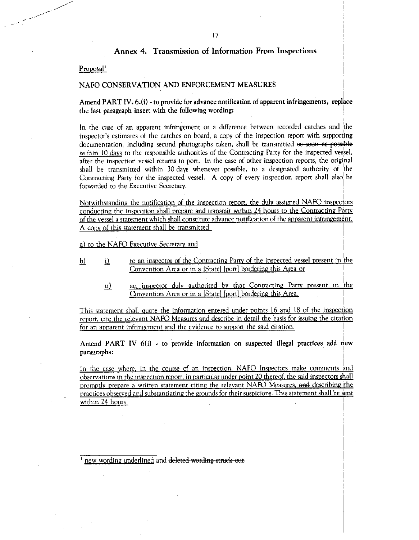### Annex 4. Transmission of Information From Inspections

#### **Proposal'**

### **NAFO CONSERVATION AND ENFORCEMENT MEASURES**

**Amend PART IV. 6.(i) - to provide for advance notification of apparent infringements, replace the last paragraph insert with the following wording:** 

In the case of an apparent infringement or a difference between recorded catches and the inspector's estimates of the catches on board, a copy of the inspection report **with** supporting documentation, including second photographs taken, shall be transmitted as soon as possible within 10 days to the responsible authorities of the Contracting Party for the inspected vessel, after the inspection vessel returns to port. In the case of other inspection reports, the original shall be transmitted within 30 days whenever possible, to a designated authority of the Contracting Party for the inspected vessel. A copy of every inspection report shall also be forwarded to the Executive Secretary.

Notwithstanding the notification of the inspection report, the duly assigned NAFO inspectors conducting the inspection shall prepare and transmit within 24 hours to the Contracting Party of the vessel a statement which shall constitute advance notification of the apparent infringement. A copy of this statement shall be transmitted

a) to the NAFO Executive Secretary and

- h) i) to an inspector of the Contracting Party of the inspected vessel present in the Convention Area or in a [State] [port] bordering this Area or
	- ii) an inspector duly authorized by that Contracting Party present in the Convention Area or in a [State] [port] bordering this Area.

This statement shall quote the information entered under points 16 and 18 of the inspection report, cite the relevant NAFO Measures and describe in detail the basis for issuing the citation for an apparent infringement and the evidence to support the said citation.

**Amend PART IV 6(i) - to provide information on suspected illegal practices add new paragraphs:** 

In the case where, in the course of an inspection, NAFO Inspectors make comments and observations in the inspection report, in particular under point 20 thereof, the said inspectors shall promptly prepare a written statement citing the relevant NAFO Measures, and describing the practices observed and substantiating the grounds for their suspicions. This statement shall be sent within 24 hours

new wording underlined and deleted wording struck out.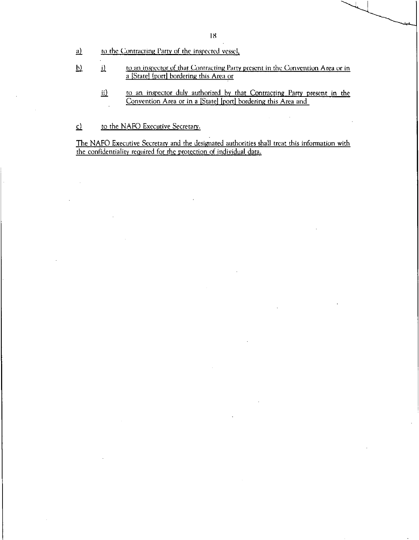18

- to the Contracting Party of the inspected vessel,
- he to an inspector of that Contracting Party present in the Convention Area or in <br>a [State] (port] bordering this Area or
	- ii) to an inspector duly authorized by that Contracting Party present in the Convention Area or in a [State] [port] bordering this Area and
- to the NAFO Executive Secretary. <u>ୁ</u>

The NAFO Executive Secretary and the designated authorities shall treat this information with the confidentiality required for the protection of individual data.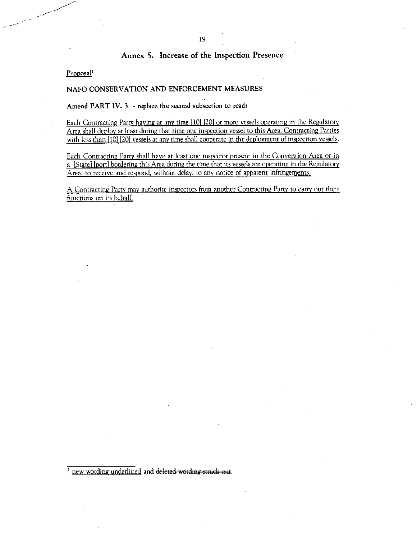## Annex 5. Increase of the Inspection Presence

### Proposal'

### NAFO CONSERVATION AND ENFORCEMENT MEASURES

Amend PART IV. 3 - replace the second subsection to read:

Each Contracting Party having at any time 1101 [201 or more vessels operating in the Regulatory Area shall deploy at least during that time one inspection vessel to this Area. Contracting Parties with less than [10] [20] vessels at any time shall cooperate in the deployment of inspection vessels.

Each Contracting Party shall have at least one inspector present in the Convention Area or in a [State] [port] bordering this Area during the time that its vessels are operating in the Regulatory Area, to receive and respond, without delay, to any notice of apparent infringements.

A Contracting Party may authorize inspectors from another Contracting Party to carry out their functions on its behalf.

 $\frac{1}{1}$  new wording underlined and deleted-wording-struck-out.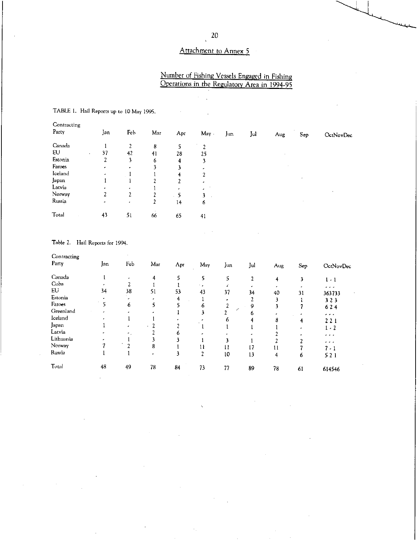# Attachment to Annex 5

### Number of Fishing Vessels Engaged in Fishing Operations in the Regulatory Area in 1994-95

TABLE 1. Hail Reports up to 10 May 1995.

| Contracting |              |        |     |     |       |     |     |        |            |           |
|-------------|--------------|--------|-----|-----|-------|-----|-----|--------|------------|-----------|
| Party       | Jan          | Feb    | Mar | Apr | May . | Jun | Jul | Aug    | Sep        | OctNovDec |
| Canada      |              | 2      | 8   | 5   | 2     |     |     |        |            |           |
| EU          | 37<br>$\sim$ | 42     | 41  | 28  | 25    |     |     | $\sim$ |            |           |
| Estonia     | 2            | 3      | 6   | 4   | 3     |     |     |        |            |           |
| Faroes      |              | ٠      | 3   | 3   | ٠     |     |     |        |            |           |
| lceland     | ۰            | $\sim$ |     | 4   | 2     |     |     |        |            |           |
| Japan       |              |        | 2   | 2   | ٠     |     |     |        | $\epsilon$ |           |
| Latvia      | ٠            | ٠      |     |     |       |     |     |        |            |           |
| Norway      | 2            | 2      | 2   | 5   | 3     |     |     |        |            | $\bullet$ |
| Russia      | ۰            | ٠      | 2   | 14  | 6     |     |     |        |            |           |
| Total       | 43           | 51     | 66  | 65  | 41    |     |     |        |            |           |

 $\sim$ 

Table 2. Hail Reports for 1994.

| Contracting |     | $\mathbf{r}$ |              |     |     |     |     |     |     |                     |
|-------------|-----|--------------|--------------|-----|-----|-----|-----|-----|-----|---------------------|
| Party       | Jan | Feb          | Mar          | Apr | May | Jun | Jul | Aug | Sep | <b>OctNovDec</b>    |
| Canada      |     | ۰            | 4            | 5   | 5   | 5   | 2   | 4   | 3   | $1-1$               |
| Cuba        | ۰   | 2            |              |     |     |     |     |     |     | .                   |
| EU          | 34  | 38           | 51           | 53  | 43  | 37  | 34  | 40  | 31  | 363733              |
| Estonia     | ۰   |              |              | 4   |     |     | 2   | 3   |     | 323                 |
| Faroes      | 5   | 6            | 5            | 5   | -6  | 2   | 9   | 3   |     | 624                 |
| Greenland   | ٠   | ۰            | ٠            |     |     | 2   | 6   |     |     | .                   |
| Iceland     |     | T.           |              | ۰   |     | 6   |     | 8   | 4   | 221                 |
| Japan       |     | ۰            | 2<br>$\cdot$ |     |     |     |     |     | ٠   | $1 - 2$             |
| Latvia      | ۰   | ۰            |              | 6   |     |     |     |     |     |                     |
| Lithuania   |     |              |              |     |     | 3   |     |     |     | $\cdot$             |
| Norway      |     | ъ            | 8            |     | 11  | 11  | 17  | 11  |     | $\cdots$<br>$7 - 1$ |
| Russia      |     |              | ٠            | 3   | 2   | 10  | 13  | 4   | 6   | 521                 |
| Total       | 48  | 49           | 78           | 84  | 73  | 77  | 89  | 78  | 61  | 614546              |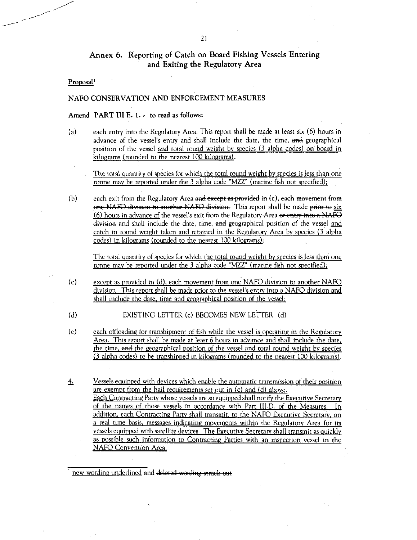### Annex 6. Reporting of Catch on Board Fishing Vessels Entering and Exiting the Regulatory Area

#### Proposal'

### NAFO CONSERVATION AND ENFORCEMENT MEASURES

#### Amend PART III E. 1. - to read as follows:

(a) each entry into the Regulatory Area. This report shall be made at least six (6) hours in advance of the vessel's entry and shall include the date, the time, and geographical position of the vessel and total round weight by species (3 alpha codes) on board in kilograms (rounded to the nearest 100 kilograms).

. The total quantity of species for which the total round weight by species is less than one tonne may be reported under the 3 alpha code "MZZ" (marine fish not specified);

(b) each exit from the Regulatory Area and except as provided in  $(c)$ , each movement from one NAFO division to another NAFO division. This report shall be made prior to six (6) hours in advance of the vessel's exit from the Regulatory Area  $\theta$  entry into a NAFO division and shall include the date, time, and geographical position of the vessel and catch in round weight taken and retained in the Regulatory Area by species (3 alpha codes) in kilograms (rounded to the nearest 100 kilograms);

The total quantity of species for which the total round weight by species is less than one tonne may be reported under the 3 alpha code "MZZ" (marine fish not specified);

- (c) except as provided in (d), each movement from one NAFO division to another NAFO division. This report shall be made prior to the vessel's entry into a NAFO division and shall include the date, time and geographical position of the vessel;
- (d) EXISTING LETTER (c) BECOMES NEW LETTER (d)
- (e) each offloading for transhipment of fish while the vessel is operating in the Regulatory Area. This report shall be made at least 6 hours in advance and shall include the date, the time, and the geographical position of the vessel and total round weight by species (3 alpha codes) to be transhipped in kilograms (rounded to the nearest 100 kilograms).
- Vessels equipped with devices which enable the automatic transmission of their position  $\perp$ are exempt from the hail requirements set out in (c) and (d) above. Each Contracting Party whose vessels are so equipped shall notify the Executive Secretary of the names of those vessels in accordance with Part 111.D. of the Measures. In addition, each Contracting Party shall transmit, to the NAFO Executive Secretary, on a real time basis, messages indicating movements within the Regulatory Area for its vessels equipped with satellite devices. The Executive Secretary shall transmit as quickly as possible such information to Contracting Parties with an inspection vessel in the NAFO Convention Area.

new wording underlined and deleted wording struck out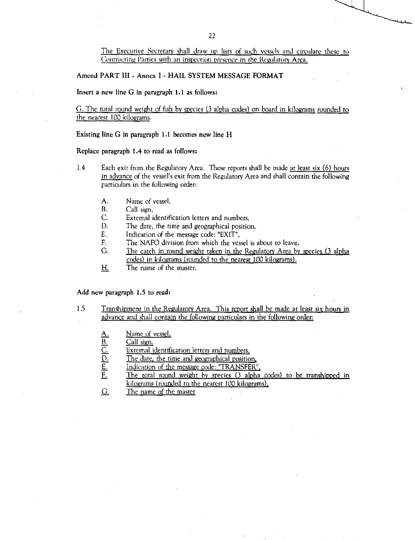The Executive Secretary shall draw up lists of such vessels and circulate these to Contracting Parties with an inspection presence in the Regulatory Area.

### Amend PART 111 - Annex 1 - HAIL SYSTEM MESSAGE FORMAT

Insert a new line G in paragraph 1.1 as follows:

0. The total round weight of fish by species (3 alpha codes) on board in kilograms rounded to the nearest 100 kilograms.

Existing line G in paragraph 1.1 becomes new line H

Replace paragraph 1.4 to read as follows:

- 1.4 Each exit from the Regulatory Area. These reports shall be made at least six (6) hours in advance of the vessel's exit from the Regulatory Area and shall contain the following particulars in the following order:
	- A. Name of vessel,
	- B. Call sign,
	- C. External identification letters and numbers,
	- D. The date, the time and geographical position,
	- E. Indication of the message code: "EXIT",
	- F. The NAFO division from which the vessel is about to leave,
	- G. The catch in round weight taken in the Regulatory Area by species (3 alpha codes) in kilograms (rounded to the nearest 100 kilograms).
	- H. The name of the master.

Add new paragraph 1.5 to read:

- 1.5 Transhipment in the Regulatory Area. This report shall be made at least six hours in advance and shall contain the following particulars in the following order:
	-
	- Call sign,
	- External identification letters and numbers,
	- The date, the time and geographical position,
	- Indication of the message code: "TRANSFER",
	- A.<br>
	<u>B.</u><br>
	<u>Call sign,</u><br>
	<u>C.</u><br>
	<u>External identif</u><br>
	<u>D.</u><br>
	The date, the tip<br>
	Indication of the E.<br>
	The total rounds The total round weight by species (3 alpha codes) to be transhipped in kilograms (rounded to the nearest 100 kilograms),
	- G. The name of the master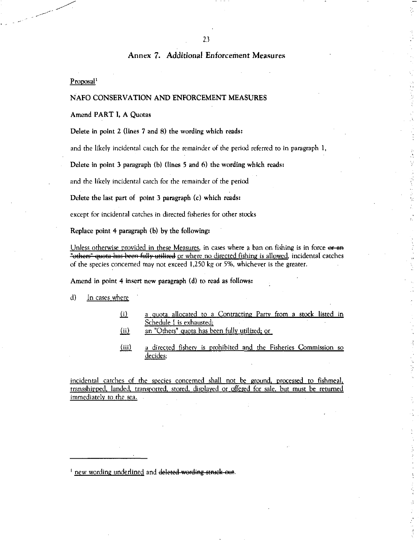### Annex 7. *Additional Enforcement* Measures

### Proposal'

### NAFO CONSERVATION AND ENFORCEMENT MEASURES

Amend PART I, A Quotas

Delete in point 2 (lines 7 and 8) the wording which reads:

and the likely incidental catch for the remainder of the period referred to in paragraph 1,

Delete in point 3 paragraph (b) (lines 5 and 6) the wording which reads:

and the likely incidental catch for the remainder of the period

Delete the last part of point 3 paragraph (c) which reads:

except for incidental catches in directed fisheries for other stocks

Replace point 4 paragraph (b) by the following:

Unless otherwise provided in these Measures, in cases where a ban on fishing is in force or an "others" quota has been fully utilized or where no directed fishing is allowed, incidental catches of the species concerned may not exceed 1,250 kg or 5%, whichever is the greater.

Amend in point 4 insert new paragraph (d) to read as follows:

d) In cases where

 $(i)$ a quota allocated to a Contracting Party from a stock listed in Schedule I is exhausted; (ii) an "Others" quota has been fully utilized; or

À, ÿ.

(iii) a directed fishery is prohibited and the Fisheries Commission so decides;

incidental catches of the species concerned shall not be ground, processed to fishmeal, transshipped, landed, transported, stored, displayed or offered for sale, but must be returned immediately to the sea.

 $<sup>1</sup>$  new wording underlined and deleted-wording struck-out.</sup>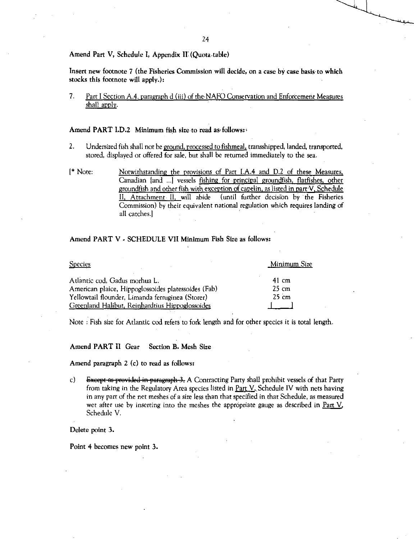### Amend Part V, Schedule 1, Appendix if (Quota table)

Insert new footnote 7 (the Fisheries Commission will decide, on a case by case basis to which stocks this footnote will apply.):

7. Part I Section A.4. paragraph d (iii) of the NAFO Conservation and Enforcement Measures shall apply.

### Amend PART I.D.2 Minimum fish size to read as follows:

- 2. Undersized fish shall not be *ground,* processed to fishmeal, transshipped, landed, transported, stored, displayed or offered for sale, but shall be returned immediately to the sea.
- [\* Note: Notwithstanding the provisions of Part I.A.4 and D.2 of these Measures, Canadian [and ...] vessels fishing for principal groundfish, flatfishes, other groundfish and other fish with exception of capelin, as listed in part V, Schedule II, Attachment II, will abide (until further decision by the Fisheries Commission) by their equivalent national regulation which requires landing of all catches.]

### Amend PART V - SCHEDULE **VII Minimum** Fish Size as follows:

Species Minimum Size Atlantic cod, Gadus morhua L. 41 cm American plaice, Hippoglossoides platessoides (Fab) 25 cm Yellowtail flounder, Limanda ferruginea (Storer) 25 cm Greenland Halibut, Reinhardtius Hippoglossoides

Note : Fish size for Atlantic cod refers to fork length and for other species it is total length.

Amend PART **II** Gear Section **B.** Mesh Size

Amend paragraph 2 (c) to read as follows:

c) Except as provided in paragraph  $3<sub>r</sub>$  A Contracting Party shall prohibit vessels of that Party from taking in the Regulatory Area species listed in Part V, Schedule IV with nets having in any part of the net meshes of a size less than that specified in that Schedule, as measured wet after use by inserting into the meshes the appropriate gauge as described in Part  $V$ , Schedule V.

Delete point 3.

Point 4 becomes new point 3.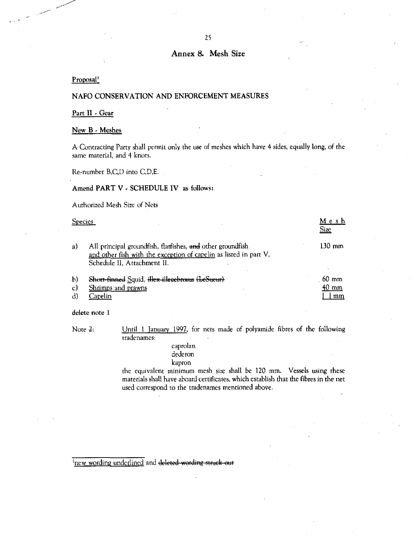### Annex 8. Mesh Size

### Proposal'

### NAFO CONSERVATION AND ENFORCEMENT MEASURES

### Part II - Gear

#### New B - Meshes

A Contracting Party shall permit only the use of meshes which have 4 sides, equally long, of the same material, and 4 knots.

Re-number B,C,D into C,D,E.

#### Amend PART V - SCHEDULE IV as follows:

Authorized Mesh Size of Nets

# Species Mesh

| a)           | All principal groundfish, flatfishes, and other groundfish<br>and other fish with the exception of capelin as listed in part V,<br>Schedule II, Attachment II. | 130 mm          |
|--------------|----------------------------------------------------------------------------------------------------------------------------------------------------------------|-----------------|
| $\cdot$ b)   | Short-finned Squid, illex-illecebrosus (LeSueur)                                                                                                               | $60 \text{ mm}$ |
| $\mathbf{c}$ | Shrimps and prawns                                                                                                                                             | $40 \text{ mm}$ |
| d)           | Capelin                                                                                                                                                        | mm              |

delete note 1

Note 2: Until 1 January 1997, for nets made of polyamide fibres of the following tradenames:

> caprolan dederon kapron

the equivalent minimum mesh size shall be 120 mm. Vessels using these materials shall have aboard certificates, which establish that the fibres in the net used correspond to the tradenames mentioned above.

Size

Inew wording underlined and deleted wording struck-out.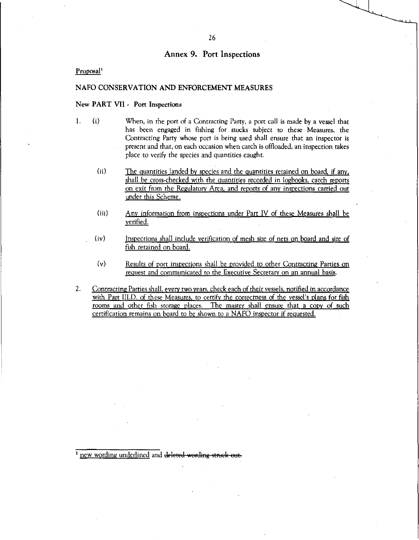### Annex 9. Port Inspections

Proposal'

### NAFO CONSERVATION AND ENFORCEMENT MEASURES

### New PART VII - Port Inspections

- 1. (i) When, in the port of a Contracting Party, a port call is made by a vessel that has been engaged in fishing for stocks subject to these Measures, the Contracting Party whose port is being used shall ensure that an inspector is present and that, on each occasion when catch is offloaded, an inspection takes place to verify the species and quantities caught.
	- (ii) The quantities landed by species and the quantities retained on board, if any, shall be cross-checked with the quantities recorded in logbooks, catch reports on exit from the Regulatory Area, and reports of any inspections carried out under this Scheme.
	- (iii) Any information from inspections under Part IV of these Measures shall be verified.
	- (iv) Inspections shall include verification of mesh size of nets on board and size of fish retained on board.
	- (v) Results of port inspections shall be provided to other Contracting Parties on request and communicated to the Executive Secretary on an annual basis.
- 2. Contracting Parties shall, every two years, check each of their vessels, notified in accordance with Part III.D. of these Measures, to certify the correctness of the vessel's plans for fish rooms and other fish storage places. The master shall ensure that a copy of such certification remains on board to be shown to a NAFO inspector if requested.

<sup>1</sup> new wording underlined and deleted-wording-struck-out-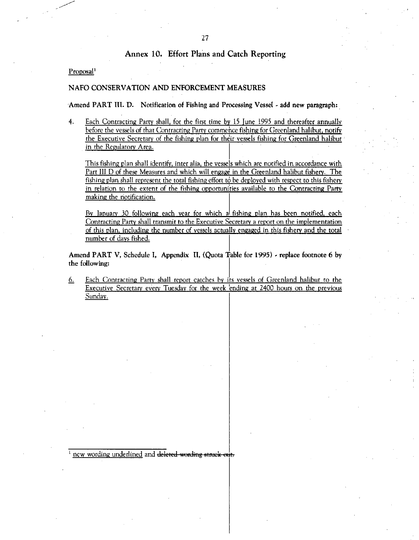### Annex 10. Effort Plans and Catch Reporting

### Proposal'

### NAFO CONSERVATION AND ENFORCEMENT MEASURES

Amend PART III. D. Notification of Fishing and Processing Vessel - add new paragraph:

4. Each Contracting Party shall, for the first time by 15 June 1995 and thereafter annually before the vessels of that Contracting Party commence fishing for Greenland halibut, notify the Executive Secretary of the fishing plan for their vessels fishing for Greenland halibut in the Regulatory Area.

This fishing plan shall identify, inter alia, the vessels which are notified in accordance with Part III D of these Measures and which will engage in the Greenland halibut fishery. The fishing plan shall represent the total fishing effort to be deployed with respect to this fishery in relation to the extent of the fishing opportunities available to the Contracting Party making the notification.

By January 30 following each year for which a fishing plan has been notified, each Contracting Party shall transmit to the Executive Secretary a report on the implementation of this plan, including the number of vessels actually engaged in this fishery and the total number of days fished.

Amend PART V, Schedule I, Appendix II, (Quota Table for 1995) - replace footnote 6 by the following:

6. Each Contracting Party shall report catches by its vessels of Greenland halibut to the Executive Secretary every Tuesday for the week ending at 2400 hours on the previous Sunday.

new wording underlined and deleted wording struck-out.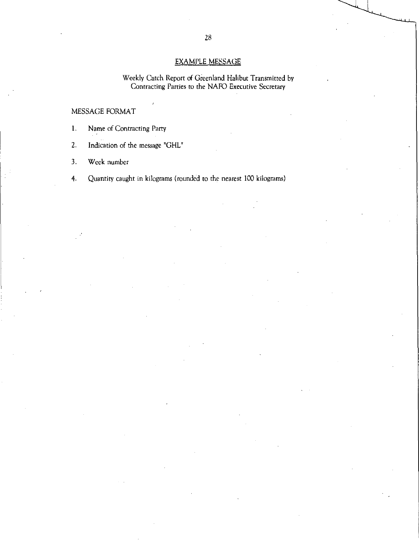### EXAMPLE MESSAGE

Weekly Catch Report of Greenland Halibut Transmitted by Contracting Parties to the NAFO Executive Secretary

### MESSAGE FORMAT

- 1. Name of Contracting Party
- 2. Indication of the message "GHL"
- 3. Week number
- 4. Quantity caught in kilograms (rounded to the nearest 100 kilograms)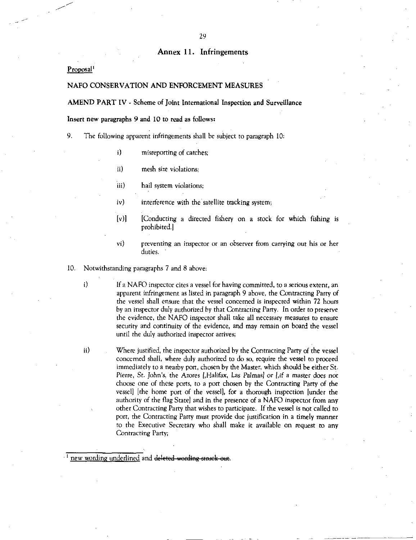### Annex 11. Infringements

Proposal'

### NAFO CONSERVATION AND ENFORCEMENT MEASURES

#### AMEND PART IV - Scheme of Joint International Inspection and Surveillance

Insert new paragraphs 9 and 10 to read as follows:

- 9. The following apparent infringements shall be subject to paragraph 10:
	- i) misreporting of catches;
	- ii) mesh size violations;
	- iii) hail system violations;
	- iv) interference with the satellite tracking system;
	- [v)] [Conducting a directed fishery on a stock for which fishing is prohibited.]
	- vi) preventing an inspector or an observer from carrying out his or her duties.
- 10. Notwithstanding paragraphs 7 and 8 above:

i) If a NAFO inspector cites a vessel for having committed, to a serious extent, an apparent infringement as listed in paragraph 9 above, the Contracting Party of the vessel shall ensure that the vessel concerned is inspected within 72 hours by an inspector duly authorized by that Contracting Party. In order to preserve the evidence, the NAFO inspector shall take all necessary measures to ensure security and continuity of the evidence, and may remain on board the vessel until the duly authorized inspector arrives;

ii) Where justified, the inspector authorized by the Contracting Party of the vessel concerned shall, where duly authorized to do so, require the vessel to proceed immediately to a nearby port, chosen by the Master, which should be either St. Pierre, St. John's, the Azores [,Halifax, Las Palmas] or [,if a master does not choose one of these ports, to a port chosen by the Contracting Party of the vessel] [the home port of the vessel], for a thorough inspection [under the authority of the flag State] and in the presence of a NAFO inspector from any other Contracting Party that wishes to participate. If the vessel is not called to port, the Contracting Party must provide due justification in a timely manner to the Executive Secretary who shall make it available on request to any Contracting Party;

new wording underlined and deleted wording struck out.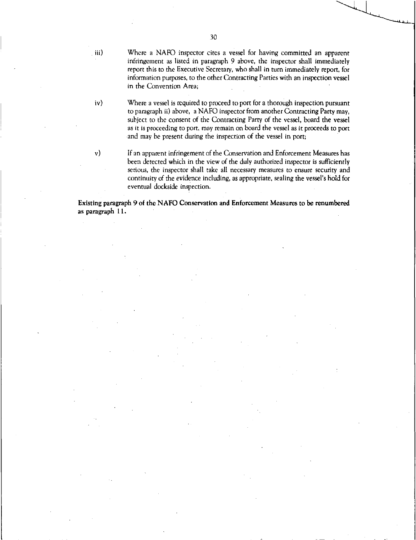iii) Where a NAFO inspector cites a vessel for having committed an apparent infringement as listed in paragraph 9 above, the inspector shall immediately report this to the Executive Secretary, who shall in turn immediately report, for information purposes, to the other Contracting Parties with an inspection vessel in the Convention Area;

iv) Where a vessel is required to proceed to port for a thorough inspection pursuant to paragraph ii) above, a NAFO inspector from another Contracting Party may, subject to the consent of the Contracting Party of the vessel, board the vessel as it is proceeding to port, may remain on board the vessel as it proceeds to port and may be present during the inspection of the vessel in port;

v) If an apparent infringement of the Conservation and Enforcement Measures has been detected which in the view of the duly authorized inspector is sufficiently serious, the inspector shall take all necessary measures to ensure security and continuity of the evidence including, as appropriate, sealing the vessel's hold for eventual dockside inspection.

Existing paragraph 9 of the NAFO Conservation and Enforcement Measures to be renumbered as paragraph 11.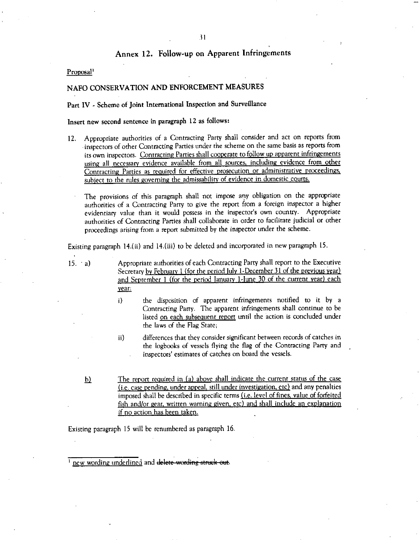### Annex 12. Follow-up on Apparent Infringements

#### **Proposal'**

### **NAFO CONSERVATION AND ENFORCEMENT MEASURES**

### **Part IV - Scheme of Joint International Inspection and Surveillance**

### **Insert new second sentence in paragraph 12 as follows:**

12. Appropriate authorities of a Contracting Party shall consider and act on reports from inspectors of other Contracting Parties under the scheme on the same basis as reports from its own inspectors. Contracting Parties shall cooperate to follow up apparent infringements using all necessary evidence available from all sources, including evidence from other Contracting Parties as required for effective prosecution or administrative proceedings, subject to the rules governing the admissability of evidence in domestic courts.

The provisions of this paragraph shall not impose any obligation on the appropriate authorities of a Contracting Party to give the report from a foreign inspector a higher evidentiary value than it would possess in the inspector's own country. Appropriate authorities of Contracting Parties shall collaborate in order to facilitate judicial or other proceedings arising from a report submitted by the inspector under the scheme.

Existing paragraph 14.(ii) and 14.(iii) to be deleted and incorporated in new paragraph 15.

- 15. a) Appropriate authorities of each Contracting Party shall report to the Executive Secretary by February 1 (for the period July 1-December 31 of the previous year) and September 1 (for the period January 1-lune 30 of the current year) each vear:
	- i) the disposition of apparent infringements notified to it by a Contracting Party. The apparent infringements shall continue to be listed on each subsequent report until the action is concluded under the laws of the Flag State;
	- ii) differences that they consider significant between records of catches in the logbooks of vessels flying the flag of the Contracting Party and inspectors' estimates of catches on board the vessels.
	- The report required in (a) above shall indicate the current status of the case  $b)$ (i.e. case pending, under appeal, still under investigation, etc) and any penalties imposed shall be described in specific terms (i.e. level of fines, value of forfeited fish and/or gear, written warning given, etc) and shall include an explanation if no action has been taken.

Existing paragraph 15 will be renumbered as paragraph 16.

 $\frac{1}{1}$  new wording underlined and delete-wording struck out.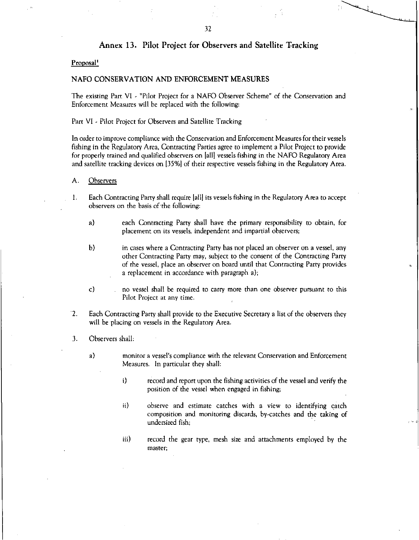### Annex 13. Pilot Project for Observers and Satellite Tracking

#### Proposal'

### NAFO CONSERVATION AND ENFORCEMENT MEASURES

The existing Part VI - "Pilot Project for a NAFO Observer Scheme" of the Conservation and Enforcement Measures will be replaced with the following:

Part VI - Pilot Project for Observers and Satellite Tracking

In order to improve compliance with the Conservation and Enforcement Measures for their vessels fishing in the Regulatory Area, Contracting Parties agree to implement a Pilot Project to provide for properly trained and qualified observers on [all] vessels fishing in the NAFO Regulatory Area and satellite tracking devices on [35%] of their respective vessels fishing in the Regulatory Area.

#### A. Observers

- Each Contracting Party shall require [all] its vessels fishing in the Regulatory Area to accept 1. observers on the basis of the following:
	- a) each Contracting Party shall have the primary responsibility to obtain, for placement on its vessels, independent and impartial observers;
	- b) in cases where a Contracting Party has not placed an observer on a vessel, any other Contracting Party may, subject to the consent of the Contracting Parry of the vessel, place an observer on board until that Contracting Party provides a replacement in accordance with paragraph a);
	- c) no vessel shall be required to carry more than one observer pursuant to this Pilot Project at any time.
- 2. Each Contracting Party shall provide to the Executive Secretary a list of the observers they will be placing on vessels in the Regulatory Area.
- 3. Observers shall:
	- a) monitor a vessel's compliance with the relevant Conservation and Enforcement Measures. In particular they shall:
		- record and report upon the fishing activities of the vessel and verify the i) position of the vessel when engaged in fishing;
		- ii) observe and estimate catches with a view to identifying catch composition and monitoring discards, by-catches and the taking of undersized fish;
		- iii) record the gear type, mesh size and attachments employed by the master;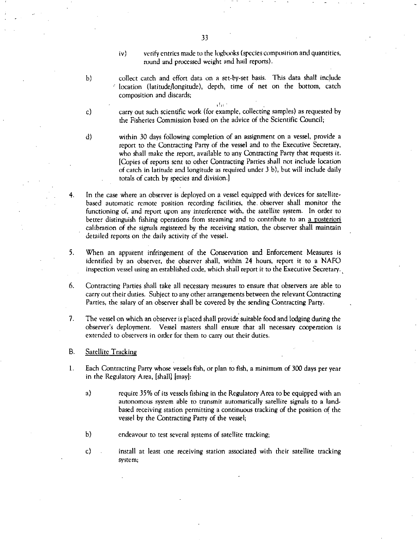- 
- iv) verify entries made to the logbooks (species composition and quantities, round and processed weight and hail reports).
- b) collect catch and effort data on a set-by-set basis. This data shall include location (latitude/longitude), depth, time of net on the bottom, catch composition and discards;
- د ريل c) carry out such scientific work (for example, collecting samples) as requested by the Fisheries Commission based on the advice of the Scientific Council;
- d) within 30 days following completion of an assignment on a vessel, provide a report to the Contracting Party of the vessel and to the Executive Secretary, who shall make the report, available to any Contracting Party that requests it. [Copies of reports sent to other Contracting Parties shall not include location of catch in latitude and longitude as required under 3 b), but will include daily totals of catch by species and division.]
- 4. In the case where an observer is deployed on a vessel equipped with devices for satellitebased automatic remote position recording facilities, the observer shall monitor the functioning of, and report upon any interference with, the satellite system. In order to better distinguish fishing operations from steaming and to contribute to an a posteriori calibration of the signals registered by the receiving station, the observer shall maintain detailed reports on the daily activity of the vessel.
- 5. When an apparent infringement of the Conservation and Enforcement Measures is identified by an observer, the observer shall, within 24 hours, report it to a NAFO inspection vessel using an established code, which shall report it to the Executive Secretary.,
- 6. Contracting Parties shall take all necessary measures to ensure that observers are able to carry out their duties. Subject to any other arrangements between the relevant Contracting Parties, the salary of an observer shall be covered by the sending Contracting Party.
- 7. The vessel on which an observer is placed shall provide suitable food and lodging during the observer's deployment. Vessel masters shall ensure that all necessary cooperation is extended to observers in order for them to carry out their duties.

### B. Satellite Tracking

- 1. Each Contracting Party whose vessels fish, or plan to fish, a minimum of 300 days per year in the Regulatory Area, [shall] [may]:
	- a) require 35% of its vessels fishing in the Regulatory Area to be equipped with an autonomous system able to transmit automatically satellite signals to a landbased receiving station permitting a continuous tracking of the position of the vessel by the Contracting Party of the vessel;
	- b) endeavour to test several systems of satellite tracking;
	- c) install at least one receiving station associated with their satellite tracking system;